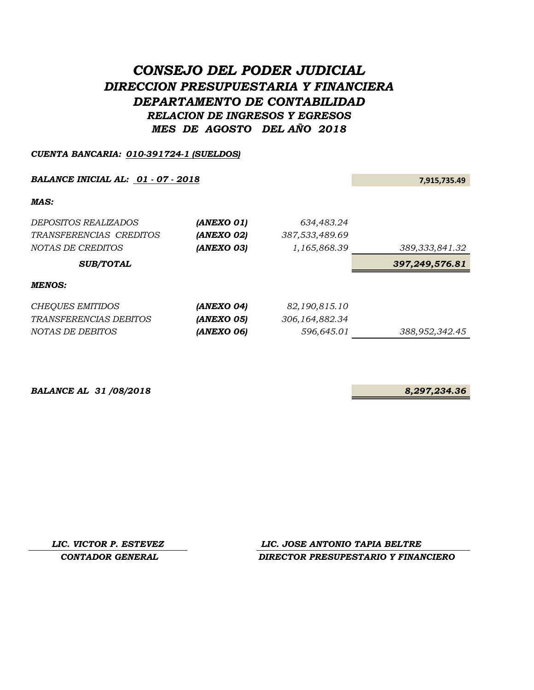# *CONSEJO DEL PODER JUDICIAL DIRECCION PRESUPUESTARIA Y FINANCIERA DEPARTAMENTO DE CONTABILIDAD RELACION DE INGRESOS Y EGRESOS MES DE AGOSTO DEL AÑO 2018*

## *CUENTA BANCARIA: 010-391724-1 (SUELDOS)*

## **BALANCE INICIAL AL:**  $\underline{01 \cdot 07 \cdot 2018}$  7,915,735.49

| <i>DEPOSITOS REALIZADOS</i> | (ANEXO 01) | 634,483.24        |                   |
|-----------------------------|------------|-------------------|-------------------|
| TRANSFERENCIAS CREDITOS     | (ANEXO 02) | 387,533,489.69    |                   |
| NOTAS DE CREDITOS           | (ANEXO 03) | 1,165,868.39      | 389, 333, 841. 32 |
| <b>SUB/TOTAL</b>            |            |                   | 397,249,576.81    |
| <b>MENOS:</b>               |            |                   |                   |
| CHEQUES EMITIDOS            | (ANEXO 04) | 82,190,815.10     |                   |
| TRANSFERENCIAS DEBITOS      | (ANEXO 05) | 306, 164, 882. 34 |                   |
| NOTAS DE DEBITOS            | (ANEXO 06) | 596,645.01        | 388,952,342.45    |

**BALANCE AL 31/08/2018** 8,297,234.36

*LIC. VICTOR P. ESTEVEZ LIC. JOSE ANTONIO TAPIA BELTRE CONTADOR GENERAL DIRECTOR PRESUPESTARIO Y FINANCIERO*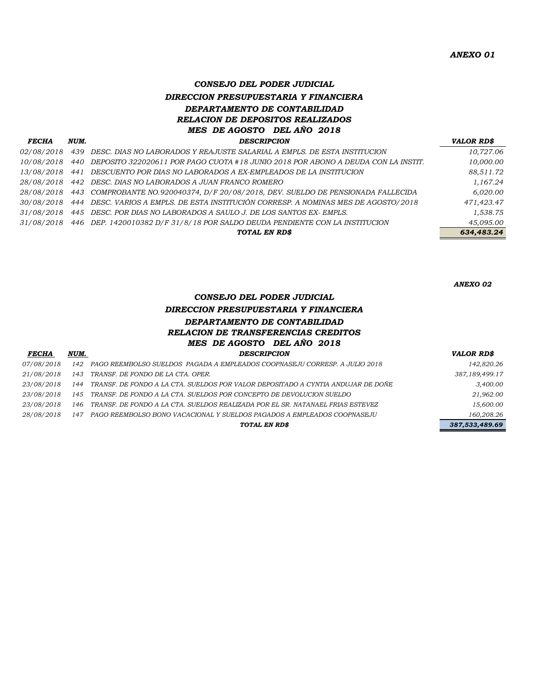# *CONSEJO DEL PODER JUDICIAL DIRECCION PRESUPUESTARIA Y FINANCIERA DEPARTAMENTO DE CONTABILIDAD RELACION DE DEPOSITOS REALIZADOS MES DE AGOSTO DEL AÑO 2018 FECHA NUM. DESCRIPCION VALOR RD\$*

| геспа      | люти. | <i>DESCRIFTION</i>                                                                             | VALUA ADD  |
|------------|-------|------------------------------------------------------------------------------------------------|------------|
| 02/08/2018 |       | 439 DESC. DIAS NO LABORADOS Y REAJUSTE SALARIAL A EMPLS. DE ESTA INSTITUCION                   | 10,727.06  |
| 10/08/2018 |       | 440 DEPOSITO 322020611 POR PAGO CUOTA #18 JUNIO 2018 POR ABONO A DEUDA CON LA INSTIT.          | 10,000.00  |
| 13/08/2018 |       | 441 DESCUENTO POR DIAS NO LABORADOS A EX-EMPLEADOS DE LA INSTITUCION                           | 88.511.72  |
| 28/08/2018 |       | 442 DESC. DIAS NO LABORADOS A JUAN FRANCO ROMERO                                               | 1.167.24   |
|            |       | 28/08/2018 443 COMPROBANTE NO.920040374, D/F 20/08/2018, DEV. SUELDO DE PENSIONADA FALLECIDA   | 6.020.00   |
|            |       | 30/08/2018 444 DESC. VARIOS A EMPLS. DE ESTA INSTITUCIÓN CORRESP. A NOMINAS MES DE AGOSTO/2018 | 471,423.47 |
| 31/08/2018 |       | 445 DESC. POR DIAS NO LABORADOS A SAULO J. DE LOS SANTOS EX-EMPLS.                             | 1,538.75   |
| 31/08/2018 |       | 446 DEP. 1420010382 D/F 31/8/18 POR SALDO DEUDA PENDIENTE CON LA INSTITUCION                   | 45,095.00  |
|            |       | TOTAL EN RD\$                                                                                  | 634,483.24 |
|            |       |                                                                                                |            |

*ANEXO 02*

# *CONSEJO DEL PODER JUDICIAL DIRECCION PRESUPUESTARIA Y FINANCIERA DEPARTAMENTO DE CONTABILIDAD RELACION DE TRANSFERENCIAS CREDITOS MES DE AGOSTO DEL AÑO 2018 FECHA NUM. DESCRIPCION VALOR RD\$*

| .          |     |                                                                                      | .              |
|------------|-----|--------------------------------------------------------------------------------------|----------------|
| 07/08/2018 |     | 142 PAGO REEMBOLSO SUELDOS PAGADA A EMPLEADOS COOPNASEJU CORRESP. A JULIO 2018       | 142,820.26     |
| 21/08/2018 |     | 143 TRANSF. DE FONDO DE LA CTA. OPER.                                                | 387,189,499.17 |
| 23/08/2018 |     | 144 TRANSF. DE FONDO A LA CTA. SUELDOS POR VALOR DEPOSITADO A CYNTIA ANDUJAR DE DOÑE | 3,400.00       |
| 23/08/2018 |     | 145 TRANSF. DE FONDO A LA CTA. SUELDOS POR CONCEPTO DE DEVOLUCION SUELDO             | 21,962.00      |
| 23/08/2018 | 146 | TRANSF. DE FONDO A LA CTA. SUELDOS REALIZADA POR EL SR. NATANAEL FRIAS ESTEVEZ       | 15,600.00      |
| 28/08/2018 |     | 147 – PAGO REEMBOLSO BONO VACACIONAL Y SUELDOS PAGADOS A EMPLEADOS COOPNASEJU        | 160,208.26     |
|            |     | TOTAL EN RD\$                                                                        | 387,533,489.69 |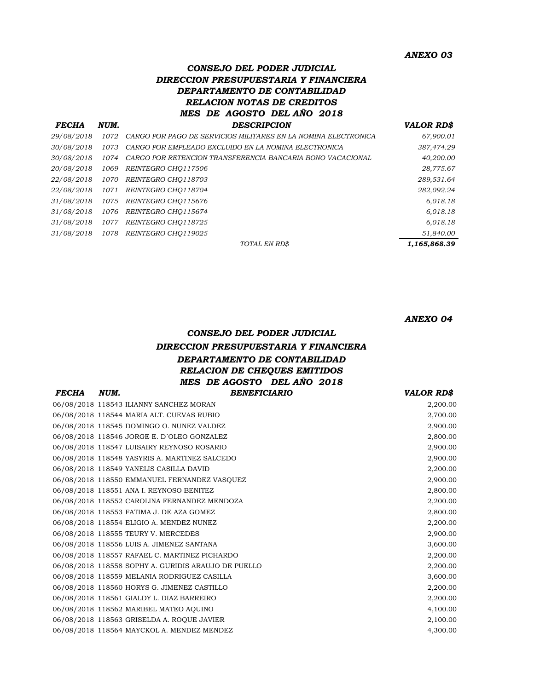### *ANEXO 03*

# *CONSEJO DEL PODER JUDICIAL DIRECCION PRESUPUESTARIA Y FINANCIERA DEPARTAMENTO DE CONTABILIDAD RELACION NOTAS DE CREDITOS MES DE AGOSTO DEL AÑO 2018 FECHA NUM. DESCRIPCION VALOR RD\$*

|            |       | TOTAL EN RD\$                                                  | 1,165,868.39 |
|------------|-------|----------------------------------------------------------------|--------------|
| 31/08/2018 | 1078  | REINTEGRO CHO119025                                            | 51,840.00    |
| 31/08/2018 | 1077  | REINTEGRO CHO118725                                            | 6,018.18     |
| 31/08/2018 | 1076  | REINTEGRO CHO115674                                            | 6,018.18     |
| 31/08/2018 | 1075  | REINTEGRO CHO115676                                            | 6,018.18     |
| 22/08/2018 | 1071  | REINTEGRO CHO118704                                            | 282,092.24   |
| 22/08/2018 | 1070  | REINTEGRO CHO118703                                            | 289,531.64   |
| 20/08/2018 | 1069  | REINTEGRO CHQ117506                                            | 28,775.67    |
| 30/08/2018 | 1074  | CARGO POR RETENCION TRANSFERENCIA BANCARIA BONO VACACIONAL     | 40,200.00    |
| 30/08/2018 | 1073  | CARGO POR EMPLEADO EXCLUIDO EN LA NOMINA ELECTRONICA           | 387,474.29   |
| 29/08/2018 | 1072. | CARGO POR PAGO DE SERVICIOS MILITARES EN LA NOMINA ELECTRONICA | 67,900.01    |
|            |       |                                                                |              |

*ANEXO 04*

# *CONSEJO DEL PODER JUDICIAL DIRECCION PRESUPUESTARIA Y FINANCIERA DEPARTAMENTO DE CONTABILIDAD RELACION DE CHEQUES EMITIDOS MES DE AGOSTO DEL AÑO 2018*

| <b>FECHA</b> | NUM. | <b>BENEFICIARIO</b>                                 | <b>VALOR RD\$</b> |
|--------------|------|-----------------------------------------------------|-------------------|
|              |      | 06/08/2018 118543 ILIANNY SANCHEZ MORAN             | 2,200.00          |
|              |      | 06/08/2018 118544 MARIA ALT. CUEVAS RUBIO           | 2,700.00          |
|              |      | 06/08/2018 118545 DOMINGO O. NUNEZ VALDEZ           | 2,900.00          |
|              |      | 06/08/2018 118546 JORGE E. D'OLEO GONZALEZ          | 2,800.00          |
|              |      | 06/08/2018 118547 LUISAIRY REYNOSO ROSARIO          | 2,900.00          |
|              |      | 06/08/2018 118548 YASYRIS A. MARTINEZ SALCEDO       | 2,900.00          |
|              |      | 06/08/2018 118549 YANELIS CASILLA DAVID             | 2,200.00          |
|              |      | 06/08/2018 118550 EMMANUEL FERNANDEZ VASQUEZ        | 2,900.00          |
|              |      | 06/08/2018 118551 ANA I. REYNOSO BENITEZ            | 2,800.00          |
|              |      | 06/08/2018 118552 CAROLINA FERNANDEZ MENDOZA        | 2,200.00          |
|              |      | 06/08/2018 118553 FATIMA J. DE AZA GOMEZ            | 2,800.00          |
|              |      | 06/08/2018 118554 ELIGIO A. MENDEZ NUNEZ            | 2,200.00          |
|              |      | 06/08/2018 118555 TEURY V. MERCEDES                 | 2,900.00          |
|              |      | 06/08/2018 118556 LUIS A. JIMENEZ SANTANA           | 3,600.00          |
|              |      | 06/08/2018 118557 RAFAEL C. MARTINEZ PICHARDO       | 2,200.00          |
|              |      | 06/08/2018 118558 SOPHY A. GURIDIS ARAUJO DE PUELLO | 2,200.00          |
|              |      | 06/08/2018 118559 MELANIA RODRIGUEZ CASILLA         | 3,600.00          |
|              |      | 06/08/2018 118560 HORYS G. JIMENEZ CASTILLO         | 2,200.00          |
|              |      | 06/08/2018 118561 GIALDY L. DIAZ BARREIRO           | 2,200.00          |
|              |      | 06/08/2018 118562 MARIBEL MATEO AQUINO              | 4,100.00          |
|              |      | 06/08/2018 118563 GRISELDA A. ROQUE JAVIER          | 2,100.00          |
|              |      | 06/08/2018 118564 MAYCKOL A. MENDEZ MENDEZ          | 4.300.00          |
|              |      |                                                     |                   |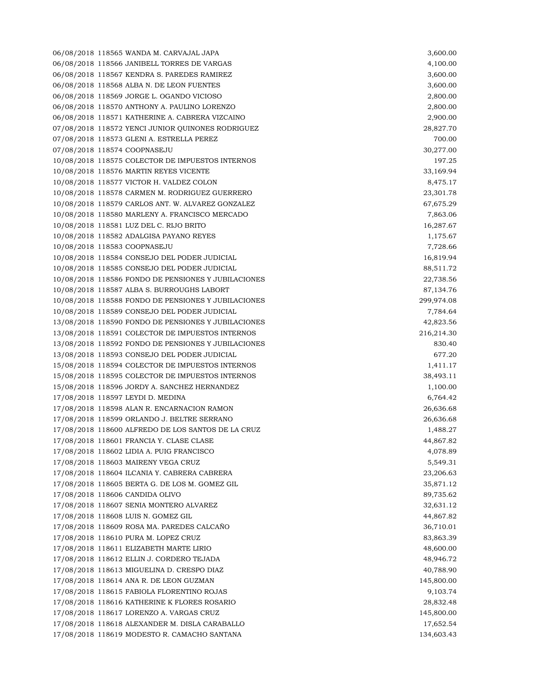06/08/2018 118565 WANDA M. CARVAJAL JAPA 3,600.00 06/08/2018 118566 JANIBELL TORRES DE VARGAS 4,100.00 06/08/2018 118567 KENDRA S. PAREDES RAMIREZ 3,600.00 06/08/2018 118568 ALBA N. DE LEON FUENTES 3,600.00 06/08/2018 118569 JORGE L. OGANDO VICIOSO 2,800.00 06/08/2018 118570 ANTHONY A. PAULINO LORENZO 2,800.00 06/08/2018 118571 KATHERINE A. CABRERA VIZCAINO 2,900.00 07/08/2018 118572 YENCI JUNIOR QUINONES RODRIGUEZ 28,827.70 07/08/2018 118573 GLENI A. ESTRELLA PEREZ 700.00 07/08/2018 118574 COOPNASEJU 30,277.00 10/08/2018 118575 COLECTOR DE IMPUESTOS INTERNOS 197.25 10/08/2018 118576 MARTIN REYES VICENTE 33,169.94 10/08/2018 118577 VICTOR H. VALDEZ COLON 8,475.17 10/08/2018 118578 CARMEN M. RODRIGUEZ GUERRERO 23,301.78 10/08/2018 118579 CARLOS ANT. W. ALVAREZ GONZALEZ 67,675.29 10/08/2018 118580 MARLENY A. FRANCISCO MERCADO 7,863.06 10/08/2018 118581 LUZ DEL C. RIJO BRITO 16,287.67 10/08/2018 118582 ADALGISA PAYANO REYES 1,175.67 10/08/2018 118583 COOPNASEJU 7,728.66 10/08/2018 118584 CONSEJO DEL PODER JUDICIAL 16,819.94 10/08/2018 118585 CONSEJO DEL PODER JUDICIAL 88,511.72 10/08/2018 118586 FONDO DE PENSIONES Y JUBILACIONES 22,738.56 10/08/2018 118587 ALBA S. BURROUGHS LABORT 87,134.76 10/08/2018 118588 FONDO DE PENSIONES Y JUBILACIONES 299,974.08 10/08/2018 118589 CONSEJO DEL PODER JUDICIAL 7,784.64 13/08/2018 118590 FONDO DE PENSIONES Y JUBILACIONES 42,823.56 13/08/2018 118591 COLECTOR DE IMPUESTOS INTERNOS 216,214.30 13/08/2018 118592 FONDO DE PENSIONES Y JUBILACIONES 830.40 13/08/2018 118593 CONSEJO DEL PODER JUDICIAL 677.20 15/08/2018 118594 COLECTOR DE IMPUESTOS INTERNOS 1,411.17 15/08/2018 118595 COLECTOR DE IMPUESTOS INTERNOS 38,493.11 15/08/2018 118596 JORDY A. SANCHEZ HERNANDEZ 1,100.00 17/08/2018 118597 LEYDI D. MEDINA 6,764.42 17/08/2018 118598 ALAN R. ENCARNACION RAMON 26,636.68 17/08/2018 118599 ORLANDO J. BELTRE SERRANO 26,636.68 17/08/2018 118600 ALFREDO DE LOS SANTOS DE LA CRUZ 1,488.27 17/08/2018 118601 FRANCIA Y. CLASE CLASE 44,867.82 17/08/2018 118602 LIDIA A. PUIG FRANCISCO 4,078.89 17/08/2018 118603 MAIRENY VEGA CRUZ 5,549.31 17/08/2018 118604 ILCANIA Y. CABRERA CABRERA 23,206.63 17/08/2018 118605 BERTA G. DE LOS M. GOMEZ GIL 35,871.12 17/08/2018 118606 CANDIDA OLIVO 89,735.62 17/08/2018 118607 SENIA MONTERO ALVAREZ 32,631.12 17/08/2018 118608 LUIS N. GOMEZ GIL 44,867.82 17/08/2018 118609 ROSA MA. PAREDES CALCAÑO 36,710.01 17/08/2018 118610 PURA M. LOPEZ CRUZ 83,863.39 17/08/2018 118611 ELIZABETH MARTE LIRIO 48,600.00 17/08/2018 118612 ELLIN J. CORDERO TEJADA 48,946.72 17/08/2018 118613 MIGUELINA D. CRESPO DIAZ 40,788.90 17/08/2018 118614 ANA R. DE LEON GUZMAN 145,800.00 17/08/2018 118615 FABIOLA FLORENTINO ROJAS 9,103.74 17/08/2018 118616 KATHERINE K FLORES ROSARIO 28,832.48 17/08/2018 118617 LORENZO A. VARGAS CRUZ 145,800.00 17/08/2018 118618 ALEXANDER M. DISLA CARABALLO 17,652.54 17/08/2018 118619 MODESTO R. CAMACHO SANTANA 134,603.43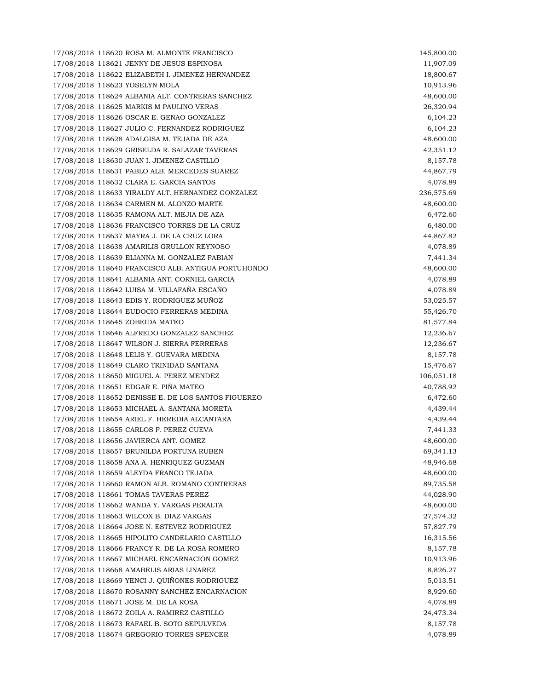17/08/2018 118620 ROSA M. ALMONTE FRANCISCO 145,800.00 17/08/2018 118621 JENNY DE JESUS ESPINOSA 11,907.09 17/08/2018 118622 ELIZABETH I. JIMENEZ HERNANDEZ 18,800.67 17/08/2018 118623 YOSELYN MOLA 10,913.96 17/08/2018 118624 ALBANIA ALT. CONTRERAS SANCHEZ 48,600.00 17/08/2018 118625 MARKIS M PAULINO VERAS 26,320.94 17/08/2018 118626 OSCAR E. GENAO GONZALEZ 6,104.23 17/08/2018 118627 JULIO C. FERNANDEZ RODRIGUEZ 6,104.23 17/08/2018 118628 ADALGISA M. TEJADA DE AZA 48,600.00 17/08/2018 118629 GRISELDA R. SALAZAR TAVERAS 42,351.12 17/08/2018 118630 JUAN I. JIMENEZ CASTILLO 8,157.78 17/08/2018 118631 PABLO ALB. MERCEDES SUAREZ 44,867.79 17/08/2018 118632 CLARA E. GARCIA SANTOS 4,078.89 17/08/2018 118633 YIRALDY ALT. HERNANDEZ GONZALEZ 236,575.69 17/08/2018 118634 CARMEN M. ALONZO MARTE 48,600.00 17/08/2018 118635 RAMONA ALT. MEJIA DE AZA 6,472.60 17/08/2018 118636 FRANCISCO TORRES DE LA CRUZ 6,480.00 17/08/2018 118637 MAYRA J. DE LA CRUZ LORA 44,867.82 17/08/2018 118638 AMARILIS GRULLON REYNOSO 4,078.89 17/08/2018 118639 ELIANNA M. GONZALEZ FABIAN 7,441.34 17/08/2018 118640 FRANCISCO ALB. ANTIGUA PORTUHONDO 48,600.00 17/08/2018 118641 ALBANIA ANT. CORNIEL GARCIA 4,078.89 17/08/2018 118642 LUISA M. VILLAFAÑA ESCAÑO 4,078.89 17/08/2018 118643 EDIS Y. RODRIGUEZ MUÑOZ 53,025.57 17/08/2018 118644 EUDOCIO FERRERAS MEDINA 55,426.70 17/08/2018 118645 ZOBEIDA MATEO 81,577.84 17/08/2018 118646 ALFREDO GONZALEZ SANCHEZ 12,236.67 17/08/2018 118647 WILSON J. SIERRA FERRERAS 12,236.67 17/08/2018 118648 LELIS Y. GUEVARA MEDINA 8,157.78 17/08/2018 118649 CLARO TRINIDAD SANTANA 15,476.67 17/08/2018 118650 MIGUEL A. PEREZ MENDEZ 106,051.18 17/08/2018 118651 EDGAR E. PIÑA MATEO 40,788.92 17/08/2018 118652 DENISSE E. DE LOS SANTOS FIGUEREO 6,472.60 17/08/2018 118653 MICHAEL A. SANTANA MORETA 4,439.44 17/08/2018 118654 ARIEL F. HEREDIA ALCANTARA 4,439.44 17/08/2018 118655 CARLOS F. PEREZ CUEVA 7,441.33 17/08/2018 118656 JAVIERCA ANT. GOMEZ 48,600.00 17/08/2018 118657 BRUNILDA FORTUNA RUBEN 69,341.13 17/08/2018 118658 ANA A. HENRIQUEZ GUZMAN 48,946.68 17/08/2018 118659 ALEYDA FRANCO TEJADA 48,600.00 17/08/2018 118660 RAMON ALB. ROMANO CONTRERAS 89,735.58 17/08/2018 118661 TOMAS TAVERAS PEREZ 44,028.90 17/08/2018 118662 WANDA Y. VARGAS PERALTA 48,600.00 17/08/2018 118663 WILCOX B. DIAZ VARGAS 27,574.32 17/08/2018 118664 JOSE N. ESTEVEZ RODRIGUEZ 57,827.79 17/08/2018 118665 HIPOLITO CANDELARIO CASTILLO 16,315.56 17/08/2018 118666 FRANCY R. DE LA ROSA ROMERO 8,157.78 17/08/2018 118667 MICHAEL ENCARNACION GOMEZ 10.913.96 17/08/2018 118668 AMABELIS ARIAS LINAREZ 8,826.27 17/08/2018 118669 YENCI J. QUIÑONES RODRIGUEZ 5,013.51 17/08/2018 118670 ROSANNY SANCHEZ ENCARNACION 8,929.60 17/08/2018 118671 JOSE M. DE LA ROSA 4,078.89 17/08/2018 118672 ZOILA A. RAMIREZ CASTILLO 24,473.34 17/08/2018 118673 RAFAEL B. SOTO SEPULVEDA 8,157.78 17/08/2018 118674 GREGORIO TORRES SPENCER 4,078.89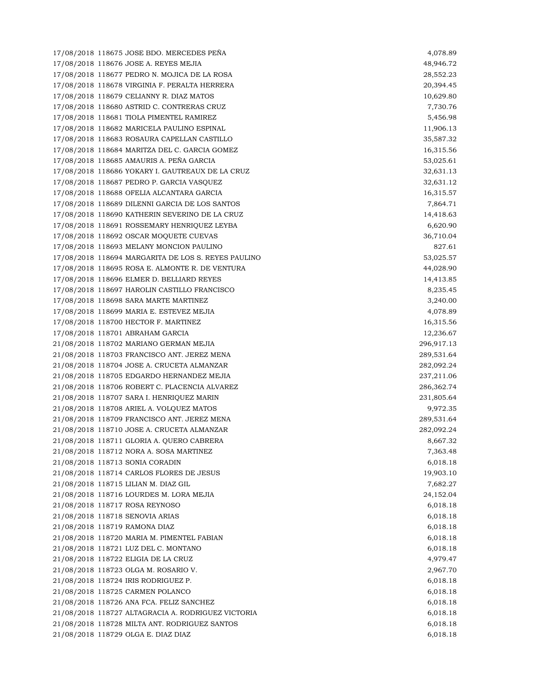17/08/2018 118675 JOSE BDO. MERCEDES PEÑA 4,078.89 17/08/2018 118676 JOSE A. REYES MEJIA 48,946.72 17/08/2018 118677 PEDRO N. MOJICA DE LA ROSA 28,552.23 17/08/2018 118678 VIRGINIA F. PERALTA HERRERA 20,394.45 17/08/2018 118679 CELIANNY R. DIAZ MATOS 10,629.80 17/08/2018 118680 ASTRID C. CONTRERAS CRUZ 7,730.76 17/08/2018 118681 TIOLA PIMENTEL RAMIREZ 5,456.98 17/08/2018 118682 MARICELA PAULINO ESPINAL 11,906.13 17/08/2018 118683 ROSAURA CAPELLAN CASTILLO 35,587.32 17/08/2018 118684 MARITZA DEL C. GARCIA GOMEZ 16,315.56 17/08/2018 118685 AMAURIS A. PEÑA GARCIA 53,025.61 17/08/2018 118686 YOKARY I. GAUTREAUX DE LA CRUZ 32,631.13 17/08/2018 118687 PEDRO P. GARCIA VASQUEZ 32,631.12 17/08/2018 118688 OFELIA ALCANTARA GARCIA 16,315.57 17/08/2018 118689 DILENNI GARCIA DE LOS SANTOS 7,864.71 17/08/2018 118690 KATHERIN SEVERINO DE LA CRUZ 14,418.63 17/08/2018 118691 ROSSEMARY HENRIQUEZ LEYBA 6,620.90 17/08/2018 118692 OSCAR MOQUETE CUEVAS 36,710.04 17/08/2018 118693 MELANY MONCION PAULINO 827.61 17/08/2018 118694 MARGARITA DE LOS S. REYES PAULINO 53,025.57 17/08/2018 118695 ROSA E. ALMONTE R. DE VENTURA 44,028.90 17/08/2018 118696 ELMER D. BELLIARD REYES 14,413.85 17/08/2018 118697 HAROLIN CASTILLO FRANCISCO 8,235.45 17/08/2018 118698 SARA MARTE MARTINEZ 3,240.00 17/08/2018 118699 MARIA E. ESTEVEZ MEJIA 4,078.89 17/08/2018 118700 HECTOR F. MARTINEZ 16,315.56 17/08/2018 118701 ABRAHAM GARCIA 12,236.67 21/08/2018 118702 MARIANO GERMAN MEJIA 296,917.13 21/08/2018 118703 FRANCISCO ANT. JEREZ MENA 289,531.64 21/08/2018 118704 JOSE A. CRUCETA ALMANZAR 282,092.24 21/08/2018 118705 EDGARDO HERNANDEZ MEJIA 237,211.06 21/08/2018 118706 ROBERT C. PLACENCIA ALVAREZ 286,362.74 21/08/2018 118707 SARA I. HENRIQUEZ MARIN 231,805.64 21/08/2018 118708 ARIEL A. VOLQUEZ MATOS 9,972.35 21/08/2018 118709 FRANCISCO ANT. JEREZ MENA 289,531.64 21/08/2018 118710 JOSE A. CRUCETA ALMANZAR 282,092.24 21/08/2018 118711 GLORIA A. QUERO CABRERA 8,667.32 21/08/2018 118712 NORA A. SOSA MARTINEZ 7,363.48 21/08/2018 118713 SONIA CORADIN 6,018.18 21/08/2018 118714 CARLOS FLORES DE JESUS 19,903.10 21/08/2018 118715 LILIAN M. DIAZ GIL 7,682.27 21/08/2018 118716 LOURDES M. LORA MEJIA 24,152.04 21/08/2018 118717 ROSA REYNOSO 6,018.18 21/08/2018 118718 SENOVIA ARIAS 6,018.18 21/08/2018 118719 RAMONA DIAZ 6,018.18 21/08/2018 118720 MARIA M. PIMENTEL FABIAN 6,018.18 21/08/2018 118721 LUZ DEL C. MONTANO 6,018.18 21/08/2018 118722 ELIGIA DE LA CRUZ 4,979.47 21/08/2018 118723 OLGA M. ROSARIO V. 2,967.70 21/08/2018 118724 IRIS RODRIGUEZ P. 6,018.18 21/08/2018 118725 CARMEN POLANCO 6,018.18 21/08/2018 118726 ANA FCA. FELIZ SANCHEZ 6,018.18 21/08/2018 118727 ALTAGRACIA A. RODRIGUEZ VICTORIA 6,018.18 21/08/2018 118728 MILTA ANT. RODRIGUEZ SANTOS 6,018.18 21/08/2018 118729 OLGA E. DIAZ DIAZ 6,018.18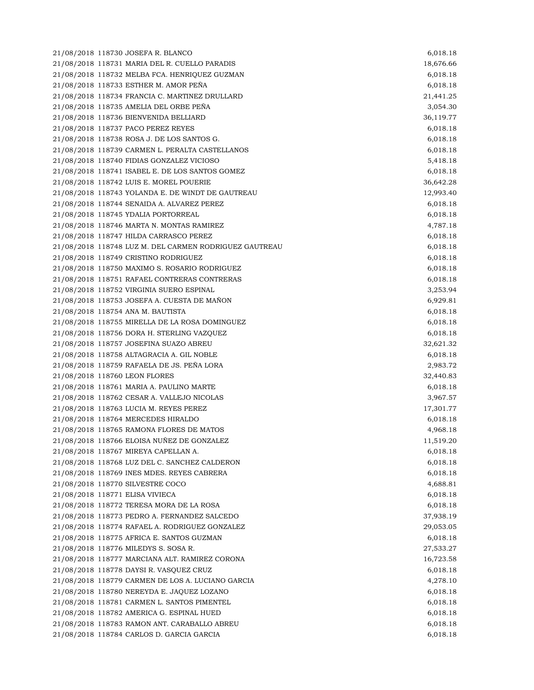21/08/2018 118730 JOSEFA R. BLANCO 6,018.18 21/08/2018 118731 MARIA DEL R. CUELLO PARADIS 18,676.66 21/08/2018 118732 MELBA FCA. HENRIQUEZ GUZMAN 6,018.18 21/08/2018 118733 ESTHER M. AMOR PEÑA 6,018.18 21/08/2018 118734 FRANCIA C. MARTINEZ DRULLARD 21,441.25 21/08/2018 118735 AMELIA DEL ORBE PEÑA 3,054.30 21/08/2018 118736 BIENVENIDA BELLIARD 36,119.77 21/08/2018 118737 PACO PEREZ REYES 6,018.18 21/08/2018 118738 ROSA J. DE LOS SANTOS G. 6,018.18 21/08/2018 118739 CARMEN L. PERALTA CASTELLANOS 6,018.18 21/08/2018 118740 FIDIAS GONZALEZ VICIOSO 5,418.18 21/08/2018 118741 ISABEL E. DE LOS SANTOS GOMEZ 6,018.18 21/08/2018 118742 LUIS E. MOREL POUERIE 36,642.28 21/08/2018 118743 YOLANDA E. DE WINDT DE GAUTREAU 12,993.40 21/08/2018 118744 SENAIDA A. ALVAREZ PEREZ 6,018.18 21/08/2018 118745 YDALIA PORTORREAL 6,018.18 21/08/2018 118746 MARTA N. MONTAS RAMIREZ 4,787.18 21/08/2018 118747 HILDA CARRASCO PEREZ 6,018.18 21/08/2018 118748 LUZ M. DEL CARMEN RODRIGUEZ GAUTREAU 6,018.18 21/08/2018 118749 CRISTINO RODRIGUEZ 6,018.18 21/08/2018 118750 MAXIMO S. ROSARIO RODRIGUEZ 6,018.18 21/08/2018 118751 RAFAEL CONTRERAS CONTRERAS 6,018.18 21/08/2018 118752 VIRGINIA SUERO ESPINAL 3,253.94 21/08/2018 118753 JOSEFA A. CUESTA DE MAÑON 6,929.81 21/08/2018 118754 ANA M. BAUTISTA 6,018.18 21/08/2018 118755 MIRELLA DE LA ROSA DOMINGUEZ 6,018.18 21/08/2018 118756 DORA H. STERLING VAZQUEZ 6,018.18 21/08/2018 118757 JOSEFINA SUAZO ABREU 32,621.32 21/08/2018 118758 ALTAGRACIA A. GIL NOBLE 6,018.18 21/08/2018 118759 RAFAELA DE JS. PEÑA LORA 2,983.72 21/08/2018 118760 LEON FLORES 32,440.83 21/08/2018 118761 MARIA A. PAULINO MARTE 6,018.18 21/08/2018 118762 CESAR A. VALLEJO NICOLAS 3,967.57 21/08/2018 118763 LUCIA M. REYES PEREZ 17,301.77 21/08/2018 118764 MERCEDES HIRALDO 6,018.18 21/08/2018 118765 RAMONA FLORES DE MATOS 4,968.18 21/08/2018 118766 ELOISA NUÑEZ DE GONZALEZ 11,519.20 21/08/2018 118767 MIREYA CAPELLAN A. 6,018.18 21/08/2018 118768 LUZ DEL C. SANCHEZ CALDERON 6,018.18 21/08/2018 118769 INES MDES. REYES CABRERA 6,018.18 21/08/2018 118770 SILVESTRE COCO 4,688.81 21/08/2018 118771 ELISA VIVIECA 6,018.18 21/08/2018 118772 TERESA MORA DE LA ROSA 6,018.18 21/08/2018 118773 PEDRO A. FERNANDEZ SALCEDO 37,938.19 21/08/2018 118774 RAFAEL A. RODRIGUEZ GONZALEZ 29,053.05 21/08/2018 118775 AFRICA E. SANTOS GUZMAN 6,018.18 21/08/2018 118776 MILEDYS S. SOSA R. 27,533.27 21/08/2018 118777 MARCIANA ALT. RAMIREZ CORONA 16,723.58 21/08/2018 118778 DAYSI R. VASQUEZ CRUZ 6,018.18 21/08/2018 118779 CARMEN DE LOS A. LUCIANO GARCIA 4,278.10 21/08/2018 118780 NEREYDA E. JAQUEZ LOZANO 6,018.18 21/08/2018 118781 CARMEN L. SANTOS PIMENTEL 6,018.18 21/08/2018 118782 AMERICA G. ESPINAL HUED 6,018.18 21/08/2018 118783 RAMON ANT. CARABALLO ABREU 6,018.18 21/08/2018 118784 CARLOS D. GARCIA GARCIA 6,018.18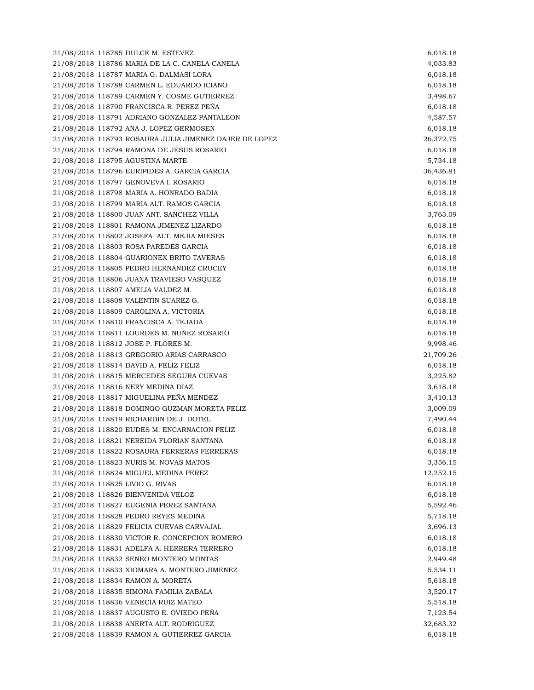21/08/2018 118785 DULCE M. ESTEVEZ 6,018.18 21/08/2018 118786 MARIA DE LA C. CANELA CANELA 4,033.83 21/08/2018 118787 MARIA G. DALMASI LORA 6,018.18 21/08/2018 118788 CARMEN L. EDUARDO ICIANO 6,018.18 21/08/2018 118789 CARMEN Y. COSME GUTIERREZ 3,498.67 21/08/2018 118790 FRANCISCA R. PEREZ PEÑA 6,018.18 21/08/2018 118791 ADRIANO GONZALEZ PANTALEON 4,587.57 21/08/2018 118792 ANA J. LOPEZ GERMOSEN 6,018.18 21/08/2018 118793 ROSAURA JULIA JIMENEZ DAJER DE LOPEZ 26,372.75 21/08/2018 118794 RAMONA DE JESUS ROSARIO 6,018.18 21/08/2018 118795 AGUSTINA MARTE 5,734.18 21/08/2018 118796 EURIPIDES A. GARCIA GARCIA 36,436.81 21/08/2018 118797 GENOVEVA I. ROSARIO 6,018.18 21/08/2018 118798 MARIA A. HONRADO BADIA 6,018.18 21/08/2018 118799 MARIA ALT. RAMOS GARCIA 6,018.18 21/08/2018 118800 JUAN ANT. SANCHEZ VILLA 3,763.09 21/08/2018 118801 RAMONA JIMENEZ LIZARDO 6,018.18 21/08/2018 118802 JOSEFA ALT. MEJIA MIESES 6,018.18 21/08/2018 118803 ROSA PAREDES GARCIA 6,018.18 21/08/2018 118804 GUARIONEX BRITO TAVERAS 6,018.18 21/08/2018 118805 PEDRO HERNANDEZ CRUCEY 6,018.18 21/08/2018 118806 JUANA TRAVIESO VASQUEZ 6,018.18 21/08/2018 118807 AMELIA VALDEZ M. 6,018.18 21/08/2018 118808 VALENTIN SUAREZ G. 6,018.18 21/08/2018 118809 CAROLINA A. VICTORIA 6,018.18 21/08/2018 118810 FRANCISCA A. TEJADA 6,018.18 21/08/2018 118811 LOURDES M. NUÑEZ ROSARIO 6,018.18 21/08/2018 118812 JOSE P. FLORES M. 9,998.46 21/08/2018 118813 GREGORIO ARIAS CARRASCO 21,709.26 21/08/2018 118814 DAVID A. FELIZ FELIZ 6,018.18 21/08/2018 118815 MERCEDES SEGURA CUEVAS 3,225.82 21/08/2018 118816 NERY MEDINA DIAZ 3,618.18 21/08/2018 118817 MIGUELINA PEÑA MENDEZ 3,410.13 21/08/2018 118818 DOMINGO GUZMAN MORETA FELIZ 3,009.09 21/08/2018 118819 RICHARDIN DE J. DOTEL 7,490.44 21/08/2018 118820 EUDES M. ENCARNACION FELIZ 6,018.18 21/08/2018 118821 NEREIDA FLORIAN SANTANA 6,018.18 21/08/2018 118822 ROSAURA FERRERAS FERRERAS 6,018.18 21/08/2018 118823 NURIS M. NOVAS MATOS 3,356.15 21/08/2018 118824 MIGUEL MEDINA PEREZ 12,252.15 21/08/2018 118825 LIVIO G. RIVAS 6,018.18 21/08/2018 118826 BIENVENIDA VELOZ 6,018.18 21/08/2018 118827 EUGENIA PEREZ SANTANA 5,592.46 21/08/2018 118828 PEDRO REYES MEDINA 5,718.18 21/08/2018 118829 FELICIA CUEVAS CARVAJAL 3,696.13 21/08/2018 118830 VICTOR R. CONCEPCION ROMERO 6,018.18 21/08/2018 118831 ADELFA A. HERRERA TERRERO 6,018.18 21/08/2018 118832 SENEO MONTERO MONTAS 2,949.48 21/08/2018 118833 XIOMARA A. MONTERO JIMENEZ 5,534.11 21/08/2018 118834 RAMON A. MORETA 5,618.18 21/08/2018 118835 SIMONA FAMILIA ZABALA 3,520.17 21/08/2018 118836 VENECIA RUIZ MATEO 5,518.18 21/08/2018 118837 AUGUSTO E. OVIEDO PEÑA 7,123.54 21/08/2018 118838 ANERTA ALT. RODRIGUEZ 32,683.32 21/08/2018 118839 RAMON A. GUTIERREZ GARCIA 6,018.18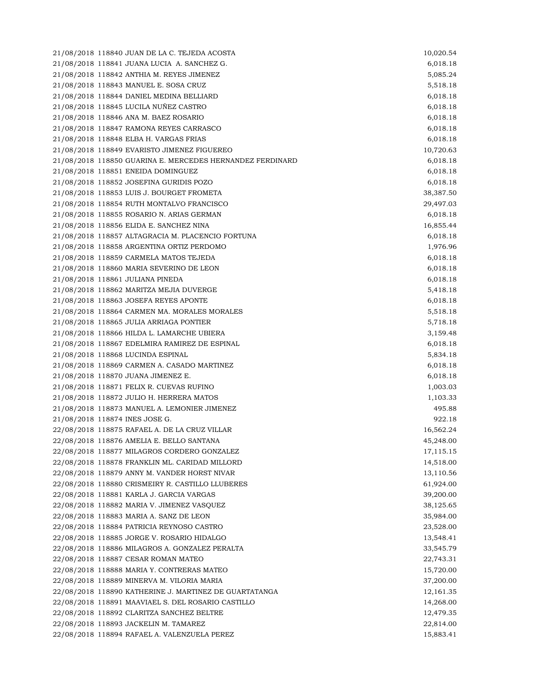21/08/2018 118840 JUAN DE LA C. TEJEDA ACOSTA 10,020.54 21/08/2018 118841 JUANA LUCIA A. SANCHEZ G. 6,018.18 21/08/2018 118842 ANTHIA M. REYES JIMENEZ 5,085.24 21/08/2018 118843 MANUEL E. SOSA CRUZ 5,518.18 21/08/2018 118844 DANIEL MEDINA BELLIARD 6,018.18 21/08/2018 118845 LUCILA NUÑEZ CASTRO 6,018.18 21/08/2018 118846 ANA M. BAEZ ROSARIO 6,018.18 21/08/2018 118847 RAMONA REYES CARRASCO 6,018.18 21/08/2018 118848 ELBA H. VARGAS FRIAS 6,018.18 21/08/2018 118849 EVARISTO JIMENEZ FIGUEREO 10,720.63 21/08/2018 118850 GUARINA E. MERCEDES HERNANDEZ FERDINARD 6,018.18 21/08/2018 118851 ENEIDA DOMINGUEZ 6,018.18 21/08/2018 118852 JOSEFINA GURIDIS POZO 6,018.18 21/08/2018 118853 LUIS J. BOURGET FROMETA 38,387.50 21/08/2018 118854 RUTH MONTALVO FRANCISCO 29,497.03 21/08/2018 118855 ROSARIO N. ARIAS GERMAN 6,018.18 21/08/2018 118856 ELIDA E. SANCHEZ NINA 16,855.44 21/08/2018 118857 ALTAGRACIA M. PLACENCIO FORTUNA 6,018.18 21/08/2018 118858 ARGENTINA ORTIZ PERDOMO 1,976.96 21/08/2018 118859 CARMELA MATOS TEJEDA 6,018.18 21/08/2018 118860 MARIA SEVERINO DE LEON 6,018.18 21/08/2018 118861 JULIANA PINEDA 6,018.18 21/08/2018 118862 MARITZA MEJIA DUVERGE 5,418.18 21/08/2018 118863 JOSEFA REYES APONTE 6,018.18 21/08/2018 118864 CARMEN MA. MORALES MORALES 5,518.18 21/08/2018 118865 JULIA ARRIAGA PONTIER 5,718.18 21/08/2018 118866 HILDA L. LAMARCHE UBIERA 3,159.48 21/08/2018 118867 EDELMIRA RAMIREZ DE ESPINAL 6,018.18 21/08/2018 118868 LUCINDA ESPINAL 5,834.18 21/08/2018 118869 CARMEN A. CASADO MARTINEZ 6,018.18 21/08/2018 118870 JUANA JIMENEZ E. 6,018.18 21/08/2018 118871 FELIX R. CUEVAS RUFINO 1,003.03 21/08/2018 118872 JULIO H. HERRERA MATOS 1,103.33 21/08/2018 118873 MANUEL A. LEMONIER JIMENEZ 495.88 21/08/2018 118874 INES JOSE G. 922.18 22/08/2018 118875 RAFAEL A. DE LA CRUZ VILLAR 16,562.24 22/08/2018 118876 AMELIA E. BELLO SANTANA 45,248.00 22/08/2018 118877 MILAGROS CORDERO GONZALEZ 17,115.15 22/08/2018 118878 FRANKLIN ML. CARIDAD MILLORD 14,518.00 22/08/2018 118879 ANNY M. VANDER HORST NIVAR 13,110.56 22/08/2018 118880 CRISMEIRY R. CASTILLO LLUBERES 61,924.00 22/08/2018 118881 KARLA J. GARCIA VARGAS 39,200.00 22/08/2018 118882 MARIA V. JIMENEZ VASQUEZ 38,125.65 22/08/2018 118883 MARIA A. SANZ DE LEON 35,984.00 22/08/2018 118884 PATRICIA REYNOSO CASTRO 23,528.00 22/08/2018 118885 JORGE V. ROSARIO HIDALGO 13,548.41 22/08/2018 118886 MILAGROS A. GONZALEZ PERALTA 33,545.79 22/08/2018 118887 CESAR ROMAN MATEO 22,743.31 22/08/2018 118888 MARIA Y. CONTRERAS MATEO 15,720.00 22/08/2018 118889 MINERVA M. VILORIA MARIA 37,200.00 22/08/2018 118890 KATHERINE J. MARTINEZ DE GUARTATANGA 12,161.35 22/08/2018 118891 MAAVIAEL S. DEL ROSARIO CASTILLO 14,268.00 22/08/2018 118892 CLARITZA SANCHEZ BELTRE 12,479.35 22/08/2018 118893 JACKELIN M. TAMAREZ 22,814.00 22/08/2018 118894 RAFAEL A. VALENZUELA PEREZ 15,883.41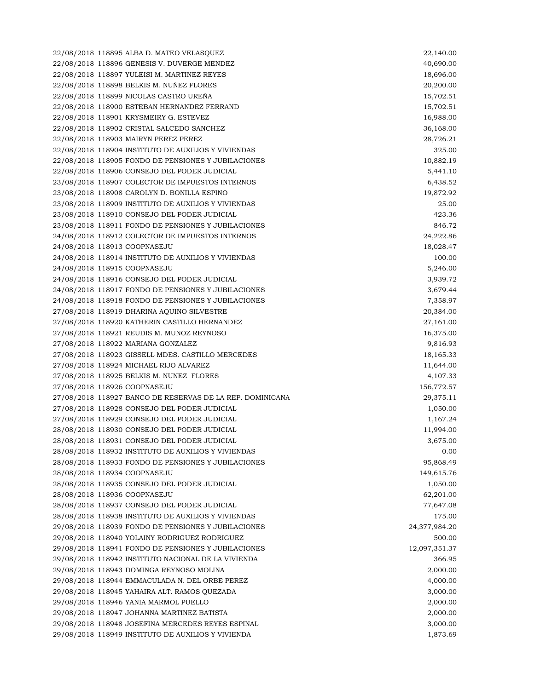22/08/2018 118895 ALBA D. MATEO VELASQUEZ 22,140.00 22/08/2018 118896 GENESIS V. DUVERGE MENDEZ 40,690.00 22/08/2018 118897 YULEISI M. MARTINEZ REYES 18,696.00 22/08/2018 118898 BELKIS M. NUÑEZ FLORES 20,200.00 22/08/2018 118899 NICOLAS CASTRO UREÑA 15,702.51 22/08/2018 118900 ESTEBAN HERNANDEZ FERRAND 15,702.51 22/08/2018 118901 KRYSMEIRY G. ESTEVEZ 16,988.00 22/08/2018 118902 CRISTAL SALCEDO SANCHEZ 36,168.00 22/08/2018 118903 MAIRYN PEREZ PEREZ 28,726.21 22/08/2018 118904 INSTITUTO DE AUXILIOS Y VIVIENDAS 325.00 22/08/2018 118905 FONDO DE PENSIONES Y JUBILACIONES 10,882.19 22/08/2018 118906 CONSEJO DEL PODER JUDICIAL 5,441.10 23/08/2018 118907 COLECTOR DE IMPUESTOS INTERNOS 6,438.52 23/08/2018 118908 CAROLYN D. BONILLA ESPINO 19,872.92 23/08/2018 118909 INSTITUTO DE AUXILIOS Y VIVIENDAS 25.00 23/08/2018 118910 CONSEJO DEL PODER JUDICIAL 423.36 23/08/2018 118911 FONDO DE PENSIONES Y JUBILACIONES 846.72 24/08/2018 118912 COLECTOR DE IMPUESTOS INTERNOS 24,222.86 24/08/2018 118913 COOPNASEJU 18,028.47 24/08/2018 118914 INSTITUTO DE AUXILIOS Y VIVIENDAS 100.00 24/08/2018 118915 COOPNASEJU 5,246.00 24/08/2018 118916 CONSEJO DEL PODER JUDICIAL 3,939.72 24/08/2018 118917 FONDO DE PENSIONES Y JUBILACIONES 3,679.44 24/08/2018 118918 FONDO DE PENSIONES Y JUBILACIONES 7,358.97 27/08/2018 118919 DHARINA AQUINO SILVESTRE 20,384.00 27/08/2018 118920 KATHERIN CASTILLO HERNANDEZ 27,161.00 27/08/2018 118921 REUDIS M. MUNOZ REYNOSO 16,375.00 27/08/2018 118922 MARIANA GONZALEZ 9,816.93 27/08/2018 118923 GISSELL MDES. CASTILLO MERCEDES 18,165.33 27/08/2018 118924 MICHAEL RIJO ALVAREZ 11,644.00 27/08/2018 118925 BELKIS M. NUNEZ FLORES 4,107.33 27/08/2018 118926 COOPNASEJU 156,772.57 27/08/2018 118927 BANCO DE RESERVAS DE LA REP. DOMINICANA 29,375.11 27/08/2018 118928 CONSEJO DEL PODER JUDICIAL 1,050.00 27/08/2018 118929 CONSEJO DEL PODER JUDICIAL 1,167.24 28/08/2018 118930 CONSEJO DEL PODER JUDICIAL 11,994.00 28/08/2018 118931 CONSEJO DEL PODER JUDICIAL 3,675.00 28/08/2018 118932 INSTITUTO DE AUXILIOS Y VIVIENDAS 0.00 28/08/2018 118933 FONDO DE PENSIONES Y JUBILACIONES 95,868.49 28/08/2018 118934 COOPNASEJU 149,615.76 28/08/2018 118935 CONSEJO DEL PODER JUDICIAL 1,050.00 28/08/2018 118936 COOPNASEJU 62,201.00 28/08/2018 118937 CONSEJO DEL PODER JUDICIAL 77,647.08 28/08/2018 118938 INSTITUTO DE AUXILIOS Y VIVIENDAS 175.00 29/08/2018 118939 FONDO DE PENSIONES Y JUBILACIONES 24,377,984.20 29/08/2018 118940 YOLAINY RODRIGUEZ RODRIGUEZ 500.00 29/08/2018 118941 FONDO DE PENSIONES Y JUBILACIONES 12,097,351.37 29/08/2018 118942 INSTITUTO NACIONAL DE LA VIVIENDA 366.95 29/08/2018 118943 DOMINGA REYNOSO MOLINA 2,000.00 29/08/2018 118944 EMMACULADA N. DEL ORBE PEREZ 4,000.00 29/08/2018 118945 YAHAIRA ALT. RAMOS QUEZADA 3,000.00 29/08/2018 118946 YANIA MARMOL PUELLO 2,000.00 29/08/2018 118947 JOHANNA MARTINEZ BATISTA 2,000.00 29/08/2018 118948 JOSEFINA MERCEDES REYES ESPINAL 3,000.00 29/08/2018 118949 INSTITUTO DE AUXILIOS Y VIVIENDA 1,873.69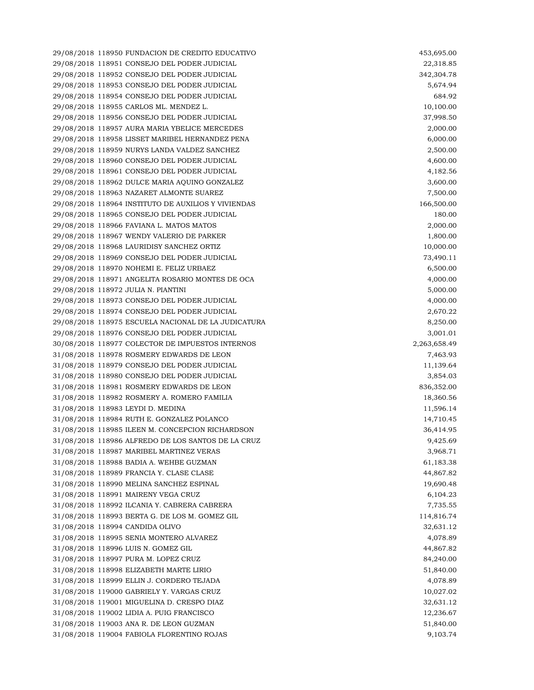29/08/2018 118950 FUNDACION DE CREDITO EDUCATIVO 453,695.00 29/08/2018 118951 CONSEJO DEL PODER JUDICIAL 22,318.85 29/08/2018 118952 CONSEJO DEL PODER JUDICIAL 342,304.78 29/08/2018 118953 CONSEJO DEL PODER JUDICIAL 5,674.94 29/08/2018 118954 CONSEJO DEL PODER JUDICIAL 684.92 29/08/2018 118955 CARLOS ML. MENDEZ L. 10,100.00 29/08/2018 118956 CONSEJO DEL PODER JUDICIAL 37,998.50 29/08/2018 118957 AURA MARIA YBELICE MERCEDES 2,000.00 29/08/2018 118958 LISSET MARIBEL HERNANDEZ PENA 6,000.00 29/08/2018 118959 NURYS LANDA VALDEZ SANCHEZ 2,500.00 29/08/2018 118960 CONSEJO DEL PODER JUDICIAL 4,600.00 29/08/2018 118961 CONSEJO DEL PODER JUDICIAL 4,182.56 29/08/2018 118962 DULCE MARIA AQUINO GONZALEZ 3,600.00 29/08/2018 118963 NAZARET ALMONTE SUAREZ 7,500.00 29/08/2018 118964 INSTITUTO DE AUXILIOS Y VIVIENDAS 166,500.00 29/08/2018 118965 CONSEJO DEL PODER JUDICIAL 180.00 29/08/2018 118966 FAVIANA L. MATOS MATOS 2,000.00 29/08/2018 118967 WENDY VALERIO DE PARKER 1,800.00 29/08/2018 118968 LAURIDISY SANCHEZ ORTIZ 10,000.00 29/08/2018 118969 CONSEJO DEL PODER JUDICIAL 73,490.11 29/08/2018 118970 NOHEMI E. FELIZ URBAEZ 6,500.00 29/08/2018 118971 ANGELITA ROSARIO MONTES DE OCA 4,000.00 29/08/2018 118972 JULIA N. PIANTINI 5,000.00 29/08/2018 118973 CONSEJO DEL PODER JUDICIAL 4,000.00 29/08/2018 118974 CONSEJO DEL PODER JUDICIAL 2,670.22 29/08/2018 118975 ESCUELA NACIONAL DE LA JUDICATURA 8,250.00 29/08/2018 118976 CONSEJO DEL PODER JUDICIAL 3,001.01 30/08/2018 118977 COLECTOR DE IMPUESTOS INTERNOS 2,263,658.49 31/08/2018 118978 ROSMERY EDWARDS DE LEON 7,463.93 31/08/2018 118979 CONSEJO DEL PODER JUDICIAL 11,139.64 31/08/2018 118980 CONSEJO DEL PODER JUDICIAL 3,854.03 31/08/2018 118981 ROSMERY EDWARDS DE LEON 836,352.00 31/08/2018 118982 ROSMERY A. ROMERO FAMILIA 18,360.56 31/08/2018 118983 LEYDI D. MEDINA 11,596.14 31/08/2018 118984 RUTH E. GONZALEZ POLANCO 14,710.45 31/08/2018 118985 ILEEN M. CONCEPCION RICHARDSON 36,414.95 31/08/2018 118986 ALFREDO DE LOS SANTOS DE LA CRUZ 9,425.69 31/08/2018 118987 MARIBEL MARTINEZ VERAS 3,968.71 31/08/2018 118988 BADIA A. WEHBE GUZMAN 61,183.38 31/08/2018 118989 FRANCIA Y. CLASE CLASE 44,867.82 31/08/2018 118990 MELINA SANCHEZ ESPINAL 19,690.48 31/08/2018 118991 MAIRENY VEGA CRUZ 6,104.23 31/08/2018 118992 ILCANIA Y. CABRERA CABRERA 7,735.55 31/08/2018 118993 BERTA G. DE LOS M. GOMEZ GIL 114,816.74 31/08/2018 118994 CANDIDA OLIVO 32,631.12 31/08/2018 118995 SENIA MONTERO ALVAREZ 4,078.89 31/08/2018 118996 LUIS N. GOMEZ GIL 44,867.82 31/08/2018 118997 PURA M. LOPEZ CRUZ 84,240.00 31/08/2018 118998 ELIZABETH MARTE LIRIO 51,840.00 31/08/2018 118999 ELLIN J. CORDERO TEJADA 4,078.89 31/08/2018 119000 GABRIELY Y. VARGAS CRUZ 10.027.02 31/08/2018 119001 MIGUELINA D. CRESPO DIAZ 32,631.12 31/08/2018 119002 LIDIA A. PUIG FRANCISCO 12,236.67 31/08/2018 119003 ANA R. DE LEON GUZMAN 51,840.00 31/08/2018 119004 FABIOLA FLORENTINO ROJAS 9,103.74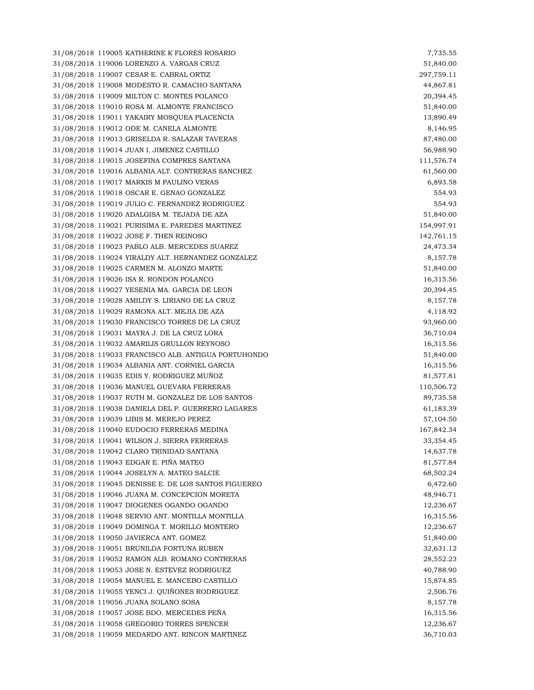31/08/2018 119005 KATHERINE K FLORES ROSARIO 7,735.55 31/08/2018 119006 LORENZO A. VARGAS CRUZ 51,840.00 31/08/2018 119007 CESAR E. CABRAL ORTIZ 297,759.11 31/08/2018 119008 MODESTO R. CAMACHO SANTANA 44,867.81 31/08/2018 119009 MILTON C. MONTES POLANCO 20,394.45 31/08/2018 119010 ROSA M. ALMONTE FRANCISCO 51,840.00 31/08/2018 119011 YAKAIRY MOSQUEA PLACENCIA 13,890.49 31/08/2018 119012 ODE M. CANELA ALMONTE 8,146.95 31/08/2018 119013 GRISELDA R. SALAZAR TAVERAS 87,480.00 31/08/2018 119014 JUAN I. JIMENEZ CASTILLO 56,988.90 31/08/2018 119015 JOSEFINA COMPRES SANTANA 111,576.74 31/08/2018 119016 ALBANIA ALT. CONTRERAS SANCHEZ 61,560.00 31/08/2018 119017 MARKIS M PAULINO VERAS 6,893.58 31/08/2018 119018 OSCAR E. GENAO GONZALEZ 554.93 31/08/2018 119019 JULIO C. FERNANDEZ RODRIGUEZ 554.93 31/08/2018 119020 ADALGISA M. TEJADA DE AZA 51,840.00 31/08/2018 119021 PURISIMA E. PAREDES MARTINEZ 154,997.91 31/08/2018 119022 JOSE F. THEN REINOSO 142,761.15 31/08/2018 119023 PABLO ALB. MERCEDES SUAREZ 24,473.34 31/08/2018 119024 YIRALDY ALT. HERNANDEZ GONZALEZ 8,157.78 31/08/2018 119025 CARMEN M. ALONZO MARTE 51,840.00 31/08/2018 119026 ISA R. RONDON POLANCO 16,315.56 31/08/2018 119027 YESENIA MA. GARCIA DE LEON 20,394.45 31/08/2018 119028 AMILDY S. LIRIANO DE LA CRUZ 8,157.78 31/08/2018 119029 RAMONA ALT. MEJIA DE AZA 4,118.92 31/08/2018 119030 FRANCISCO TORRES DE LA CRUZ 93,960.00 31/08/2018 119031 MAYRA J. DE LA CRUZ LORA 36,710.04 31/08/2018 119032 AMARILIS GRULLON REYNOSO 16,315.56 31/08/2018 119033 FRANCISCO ALB. ANTIGUA PORTUHONDO 51,840.00 31/08/2018 119034 ALBANIA ANT. CORNIEL GARCIA 16,315.56 31/08/2018 119035 EDIS Y. RODRIGUEZ MUÑOZ 81,577.81 31/08/2018 119036 MANUEL GUEVARA FERRERAS 110,506.72 31/08/2018 119037 RUTH M. GONZALEZ DE LOS SANTOS 89,735.58 31/08/2018 119038 DANIELA DEL P. GUERRERO LAGARES 61,183.39 31/08/2018 119039 LIBIS M. MEREJO PEREZ 57,104.50 31/08/2018 119040 EUDOCIO FERRERAS MEDINA 167,842.34 31/08/2018 119041 WILSON J. SIERRA FERRERAS 33,354.45 31/08/2018 119042 CLARO TRINIDAD SANTANA 14,637.78 31/08/2018 119043 EDGAR E. PIÑA MATEO 81,577.84 31/08/2018 119044 JOSELYN A. MATEO SALCIE 68,502.24 31/08/2018 119045 DENISSE E. DE LOS SANTOS FIGUEREO 6,472.60 31/08/2018 119046 JUANA M. CONCEPCION MORETA 48,946.71 31/08/2018 119047 DIOGENES OGANDO OGANDO 12,236.67 31/08/2018 119048 SERVIO ANT. MONTILLA MONTILLA 16,315.56 31/08/2018 119049 DOMINGA T. MORILLO MONTERO 12,236.67 31/08/2018 119050 JAVIERCA ANT. GOMEZ 51,840.00 31/08/2018 119051 BRUNILDA FORTUNA RUBEN 32,631.12 31/08/2018 119052 RAMON ALB. ROMANO CONTRERAS 28,552.23 31/08/2018 119053 JOSE N. ESTEVEZ RODRIGUEZ 40,788.90 31/08/2018 119054 MANUEL E. MANCEBO CASTILLO 15,874.85 31/08/2018 119055 YENCI J. QUIÑONES RODRIGUEZ 2,506.76 31/08/2018 119056 JUANA SOLANO SOSA 8,157.78 31/08/2018 119057 JOSE BDO. MERCEDES PEÑA 16,315.56 31/08/2018 119058 GREGORIO TORRES SPENCER 12,236.67 31/08/2018 119059 MEDARDO ANT. RINCON MARTINEZ 36,710.03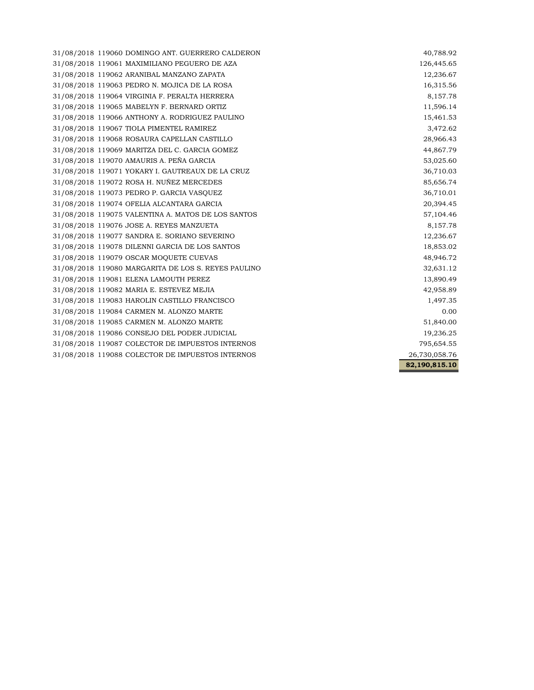31/08/2018 119060 DOMINGO ANT. GUERRERO CALDERON 40,788.92 31/08/2018 119061 MAXIMILIANO PEGUERO DE AZA 126,445.65 31/08/2018 119062 ARANIBAL MANZANO ZAPATA 12,236.67 31/08/2018 119063 PEDRO N. MOJICA DE LA ROSA 16,315.56 31/08/2018 119064 VIRGINIA F. PERALTA HERRERA 8,157.78 31/08/2018 119065 MABELYN F. BERNARD ORTIZ 11,596.14 31/08/2018 119066 ANTHONY A. RODRIGUEZ PAULINO 15,461.53 31/08/2018 119067 TIOLA PIMENTEL RAMIREZ 3,472.62 31/08/2018 119068 ROSAURA CAPELLAN CASTILLO 28,966.43 31/08/2018 119069 MARITZA DEL C. GARCIA GOMEZ 44,867.79 31/08/2018 119070 AMAURIS A. PEÑA GARCIA 53,025.60 31/08/2018 119071 YOKARY I. GAUTREAUX DE LA CRUZ 36,710.03 31/08/2018 119072 ROSA H. NUÑEZ MERCEDES 85,656.74 31/08/2018 119073 PEDRO P. GARCIA VASQUEZ 36,710.01 31/08/2018 119074 OFELIA ALCANTARA GARCIA 20,394.45 31/08/2018 119075 VALENTINA A. MATOS DE LOS SANTOS 57,104.46 31/08/2018 119076 JOSE A. REYES MANZUETA 8,157.78 31/08/2018 119077 SANDRA E. SORIANO SEVERINO 12,236.67 31/08/2018 119078 DILENNI GARCIA DE LOS SANTOS 18,853.02 31/08/2018 119079 OSCAR MOQUETE CUEVAS 48,946.72 31/08/2018 119080 MARGARITA DE LOS S. REYES PAULINO 32,631.12 31/08/2018 119081 ELENA LAMOUTH PEREZ 13,890.49 31/08/2018 119082 MARIA E. ESTEVEZ MEJIA 42,958.89 31/08/2018 119083 HAROLIN CASTILLO FRANCISCO 1,497.35 31/08/2018 119084 CARMEN M. ALONZO MARTE 0.00 31/08/2018 119085 CARMEN M. ALONZO MARTE 51,840.00 31/08/2018 119086 CONSEJO DEL PODER JUDICIAL 19,236.25 31/08/2018 119087 COLECTOR DE IMPUESTOS INTERNOS 795,654.55 31/08/2018 119088 COLECTOR DE IMPUESTOS INTERNOS 26,730,058.76

**82,190,815.10**